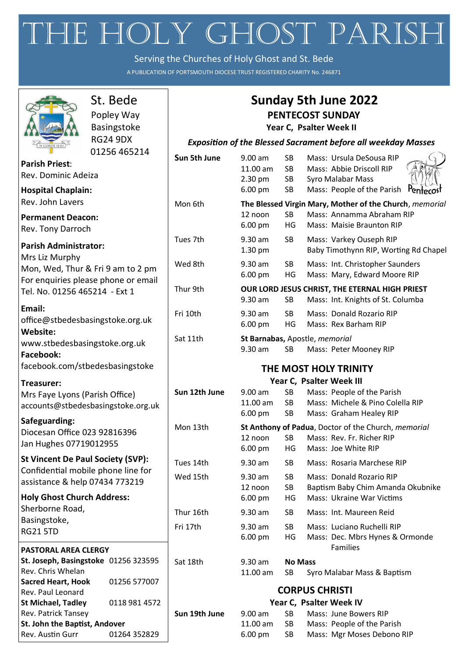# THE HOLY GHOST PARISH

Serving the Churches of Holy Ghost and St. Bede

A PUBLICATION OF PORTSMOUTH DIOCESE TRUST REGISTERED CHARITY No. 246871

┑

 $\sqrt{ }$ 

|                                                                | St. Bede        | <b>Sunday 5th June 2022</b><br><b>PENTECOST SUNDAY</b>               |                                                                                              |                 |                                                             |  |
|----------------------------------------------------------------|-----------------|----------------------------------------------------------------------|----------------------------------------------------------------------------------------------|-----------------|-------------------------------------------------------------|--|
|                                                                | Popley Way      |                                                                      |                                                                                              |                 |                                                             |  |
|                                                                | Basingstoke     |                                                                      |                                                                                              |                 | Year C, Psalter Week II                                     |  |
| $\left\{\frac{1}{N} \right\}$                                  | <b>RG24 9DX</b> | <b>Exposition of the Blessed Sacrament before all weekday Masses</b> |                                                                                              |                 |                                                             |  |
|                                                                | 01256 465214    | Sun 5th June                                                         | 9.00 am                                                                                      | SB              | Mass: Ursula DeSousa RIP                                    |  |
| <b>Parish Priest:</b>                                          |                 |                                                                      | 11.00 am                                                                                     | <b>SB</b>       | Mass: Abbie Driscoll RIP                                    |  |
| Rev. Dominic Adeiza                                            |                 |                                                                      | 2.30 pm                                                                                      | SB              | Syro Malabar Mass                                           |  |
| <b>Hospital Chaplain:</b>                                      |                 |                                                                      | 6.00 pm                                                                                      | <b>SB</b>       | Pentecost<br>Mass: People of the Parish                     |  |
| Rev. John Lavers                                               |                 | Mon 6th                                                              |                                                                                              |                 | The Blessed Virgin Mary, Mother of the Church, memorial     |  |
| <b>Permanent Deacon:</b>                                       |                 |                                                                      | 12 noon                                                                                      | <b>SB</b>       | Mass: Annamma Abraham RIP                                   |  |
| Rev. Tony Darroch                                              |                 |                                                                      | 6.00 pm                                                                                      | HG              | Mass: Maisie Braunton RIP                                   |  |
| <b>Parish Administrator:</b>                                   |                 | Tues 7th                                                             | 9.30 am                                                                                      | <b>SB</b>       | Mass: Varkey Ouseph RIP                                     |  |
| Mrs Liz Murphy                                                 |                 |                                                                      | 1.30 pm                                                                                      |                 | Baby Timothynn RIP, Worting Rd Chapel                       |  |
| Mon, Wed, Thur & Fri 9 am to 2 pm                              |                 | Wed 8th                                                              | 9.30 am                                                                                      | <b>SB</b>       | Mass: Int. Christopher Saunders                             |  |
| For enquiries please phone or email                            |                 |                                                                      | 6.00 pm                                                                                      | HG              | Mass: Mary, Edward Moore RIP                                |  |
| Tel. No. 01256 465214 - Ext 1                                  |                 | Thur 9th                                                             |                                                                                              |                 | OUR LORD JESUS CHRIST, THE ETERNAL HIGH PRIEST              |  |
|                                                                |                 |                                                                      | 9.30 am                                                                                      | <b>SB</b>       | Mass: Int. Knights of St. Columba                           |  |
| Email:                                                         |                 | Fri 10th                                                             | 9.30 am                                                                                      | <b>SB</b>       | Mass: Donald Rozario RIP                                    |  |
| office@stbedesbasingstoke.org.uk                               |                 |                                                                      | 6.00 pm                                                                                      | HG              | Mass: Rex Barham RIP                                        |  |
| Website:                                                       |                 | Sat 11th                                                             | St Barnabas, Apostle, memorial                                                               |                 |                                                             |  |
| www.stbedesbasingstoke.org.uk<br>Facebook:                     |                 |                                                                      | 9.30 am                                                                                      | <b>SB</b>       | Mass: Peter Mooney RIP                                      |  |
|                                                                |                 |                                                                      |                                                                                              |                 |                                                             |  |
| facebook.com/stbedesbasingstoke                                |                 | THE MOST HOLY TRINITY                                                |                                                                                              |                 |                                                             |  |
| Treasurer:                                                     |                 |                                                                      |                                                                                              |                 | Year C, Psalter Week III                                    |  |
| Mrs Faye Lyons (Parish Office)                                 |                 | Sun 12th June                                                        | 9.00 a <sub>m</sub>                                                                          | SB              | Mass: People of the Parish                                  |  |
| accounts@stbedesbasingstoke.org.uk                             |                 |                                                                      | 11.00 am<br>6.00 pm                                                                          | <b>SB</b><br>SB | Mass: Michele & Pino Colella RIP<br>Mass: Graham Healey RIP |  |
| Safeguarding:                                                  |                 |                                                                      |                                                                                              |                 |                                                             |  |
| Diocesan Office 023 92816396                                   |                 |                                                                      | St Anthony of Padua, Doctor of the Church, memorial<br>Mon 13th<br>Mass: Rev. Fr. Richer RIP |                 |                                                             |  |
| Jan Hughes 07719012955                                         |                 |                                                                      | 12 noon<br>6.00 pm                                                                           | <b>SB</b><br>HG | Mass: Joe White RIP                                         |  |
| <b>St Vincent De Paul Society (SVP):</b>                       |                 |                                                                      |                                                                                              |                 |                                                             |  |
| Confidential mobile phone line for                             |                 | Tues 14th                                                            | $9.30$ am                                                                                    | <b>SB</b>       | Mass: Rosaria Marchese RIP                                  |  |
| assistance & help 07434 773219                                 |                 | Wed 15th                                                             | 9.30 am                                                                                      | SB              | Mass: Donald Rozario RIP                                    |  |
| <b>Holy Ghost Church Address:</b>                              |                 |                                                                      | 12 noon                                                                                      | SB              | Baptism Baby Chim Amanda Okubnike                           |  |
| Sherborne Road,                                                |                 |                                                                      | 6.00 pm                                                                                      | HG              | Mass: Ukraine War Victims                                   |  |
| Basingstoke,                                                   |                 | Thur 16th                                                            | $9.30$ am                                                                                    | SB              | Mass: Int. Maureen Reid                                     |  |
| <b>RG21 5TD</b>                                                |                 | Fri 17th                                                             | 9.30 am                                                                                      | <b>SB</b>       | Mass: Luciano Ruchelli RIP                                  |  |
|                                                                |                 |                                                                      | 6.00 pm                                                                                      | HG              | Mass: Dec. Mbrs Hynes & Ormonde                             |  |
| <b>PASTORAL AREA CLERGY</b>                                    |                 |                                                                      |                                                                                              |                 | Families                                                    |  |
| St. Joseph, Basingstoke 01256 323595                           |                 | Sat 18th                                                             | 9.30 am                                                                                      | <b>No Mass</b>  |                                                             |  |
| Rev. Chris Whelan                                              |                 |                                                                      | 11.00 am                                                                                     | <b>SB</b>       | Syro Malabar Mass & Baptism                                 |  |
| <b>Sacred Heart, Hook</b><br>01256 577007<br>Rev. Paul Leonard |                 | <b>CORPUS CHRISTI</b>                                                |                                                                                              |                 |                                                             |  |
| <b>St Michael, Tadley</b><br>0118 981 4572                     |                 |                                                                      | Year C, Psalter Week IV                                                                      |                 |                                                             |  |
| Rev. Patrick Tansey                                            |                 | Sun 19th June                                                        | 9.00 a <sub>m</sub>                                                                          | <b>SB</b>       | Mass: June Bowers RIP                                       |  |
| St. John the Baptist, Andover                                  |                 |                                                                      | 11.00 am                                                                                     | <b>SB</b>       | Mass: People of the Parish                                  |  |
| Rev. Austin Gurr                                               | 01264 352829    |                                                                      | 6.00 pm                                                                                      | <b>SB</b>       | Mass: Mgr Moses Debono RIP                                  |  |